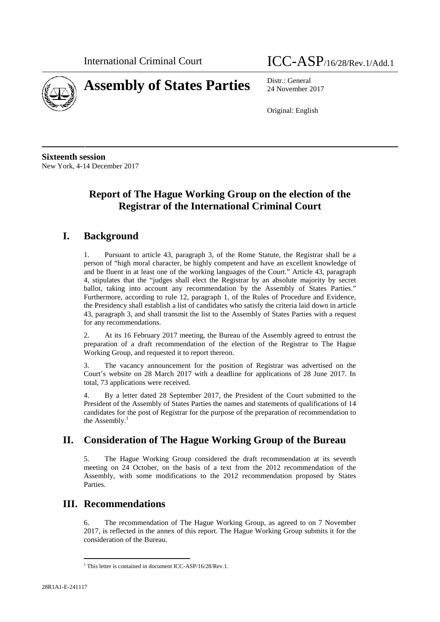

# **Assembly of States Parties** Distr.: General

International Criminal Court ICC-ASP/16/28/Rev.1/Add.1

24 November 2017

Original: English

**Sixteenth session** New York, 4-14 December 2017

# **Report of The Hague Working Group on the election of the Registrar of the International Criminal Court**

# **I. Background**

1. Pursuant to article 43, paragraph 3, of the Rome Statute, the Registrar shall be a person of "high moral character, be highly competent and have an excellent knowledge of and be fluent in at least one of the working languages of the Court." Article 43, paragraph 4, stipulates that the "judges shall elect the Registrar by an absolute majority by secret ballot, taking into account any recommendation by the Assembly of States Parties." Furthermore, according to rule 12, paragraph 1, of the Rules of Procedure and Evidence, the Presidency shall establish a list of candidates who satisfy the criteria laid down in article 43, paragraph 3, and shall transmit the list to the Assembly of States Parties with a request for any recommendations.

2. At its 16 February 2017 meeting, the Bureau of the Assembly agreed to entrust the preparation of a draft recommendation of the election of the Registrar to The Hague Working Group, and requested it to report thereon.

3. The vacancy announcement for the position of Registrar was advertised on the Court's website on 28 March 2017 with a deadline for applications of 28 June 2017. In total, 73 applications were received.

4. By a letter dated 28 September 2017, the President of the Court submitted to the President of the Assembly of States Parties the names and statements of qualifications of 14 candidates for the post of Registrar for the purpose of the preparation of recommendation to the Assembly. $<sup>1</sup>$ </sup>

# **II. Consideration of The Hague Working Group of the Bureau**

5. The Hague Working Group considered the draft recommendation at its seventh meeting on 24 October, on the basis of a text from the 2012 recommendation of the Assembly, with some modifications to the 2012 recommendation proposed by States Parties.

# **III. Recommendations**

6. The recommendation of The Hague Working Group, as agreed to on 7 November 2017, is reflected in the annex of this report. The Hague Working Group submits it for the consideration of the Bureau.

<sup>&</sup>lt;sup>1</sup> This letter is contained in document ICC-ASP/16/28/Rev.1.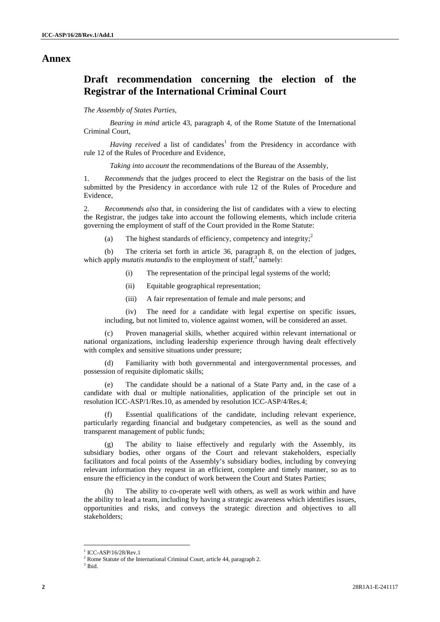#### **Annex**

# **Draft recommendation concerning the election of the Registrar of the International Criminal Court**

#### *The Assembly of States Parties,*

*Bearing in mind* article 43, paragraph 4, of the Rome Statute of the International Criminal Court,

*Having received* a list of candidates<sup>1</sup> from the Presidency in accordance with rule 12 of the Rules of Procedure and Evidence,

*Taking into account* the recommendations of the Bureau of the Assembly,

1. *Recommends* that the judges proceed to elect the Registrar on the basis of the list submitted by the Presidency in accordance with rule 12 of the Rules of Procedure and Evidence,

2*. Recommends also* that, in considering the list of candidates with a view to electing the Registrar, the judges take into account the following elements, which include criteria governing the employment of staff of the Court provided in the Rome Statute:

(a) The highest standards of efficiency, competency and integrity;<sup>2</sup>

(b) The criteria set forth in article 36, paragraph 8, on the election of judges, which apply *mutatis mutandis* to the employment of staff,<sup>3</sup> namely:

- (i) The representation of the principal legal systems of the world;
- (ii) Equitable geographical representation;
- (iii) A fair representation of female and male persons; and

(iv) The need for a candidate with legal expertise on specific issues, including, but not limited to, violence against women, will be considered an asset.

(c) Proven managerial skills, whether acquired within relevant international or national organizations, including leadership experience through having dealt effectively with complex and sensitive situations under pressure;

(d) Familiarity with both governmental and intergovernmental processes, and possession of requisite diplomatic skills;

(e) The candidate should be a national of a State Party and, in the case of a candidate with dual or multiple nationalities, application of the principle set out in resolution ICC-ASP/1/Res.10, as amended by resolution ICC-ASP/4/Res.4;

Essential qualifications of the candidate, including relevant experience, particularly regarding financial and budgetary competencies, as well as the sound and transparent management of public funds;

(g) The ability to liaise effectively and regularly with the Assembly, its subsidiary bodies, other organs of the Court and relevant stakeholders, especially facilitators and focal points of the Assembly's subsidiary bodies, including by conveying relevant information they request in an efficient, complete and timely manner, so as to ensure the efficiency in the conduct of work between the Court and States Parties;

The ability to co-operate well with others, as well as work within and have the ability to lead a team, including by having a strategic awareness which identifies issues, opportunities and risks, and conveys the strategic direction and objectives to all stakeholders;

 $1$  ICC-ASP/16/28/Rev.1

<sup>&</sup>lt;sup>2</sup> Rome Statute of the International Criminal Court, article 44, paragraph 2.<sup>3</sup> Ibid.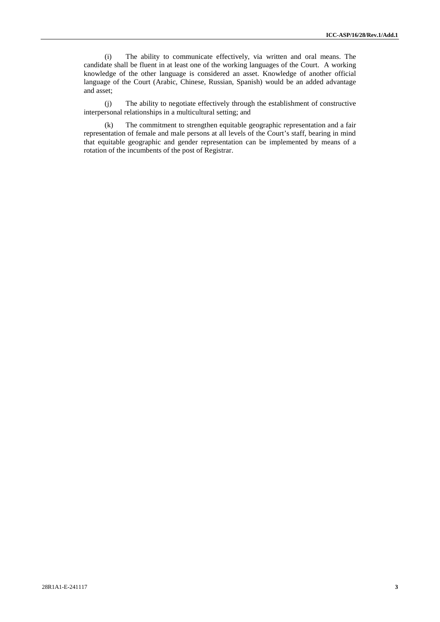(i) The ability to communicate effectively, via written and oral means. The candidate shall be fluent in at least one of the working languages of the Court. A working knowledge of the other language is considered an asset. Knowledge of another official language of the Court (Arabic, Chinese, Russian, Spanish) would be an added advantage and asset;

(j) The ability to negotiate effectively through the establishment of constructive interpersonal relationships in a multicultural setting; and

(k) The commitment to strengthen equitable geographic representation and a fair representation of female and male persons at all levels of the Court's staff, bearing in mind that equitable geographic and gender representation can be implemented by means of a rotation of the incumbents of the post of Registrar.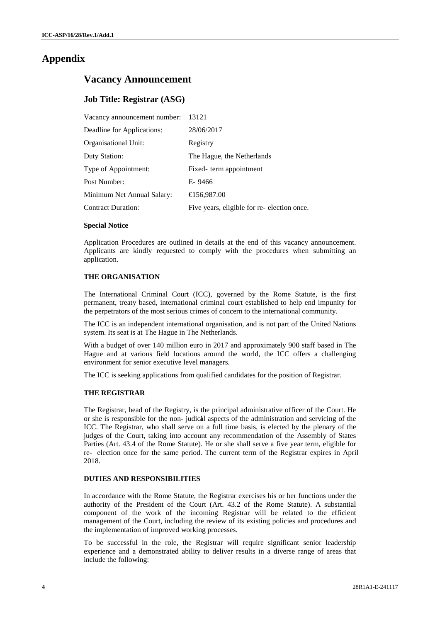## **Appendix**

### **Vacancy Announcement**

#### **Job Title: Registrar (ASG)**

| Vacancy announcement number: | 13121                                      |
|------------------------------|--------------------------------------------|
| Deadline for Applications:   | 28/06/2017                                 |
| Organisational Unit:         | Registry                                   |
| Duty Station:                | The Hague, the Netherlands                 |
| Type of Appointment:         | Fixed-term appointment                     |
| Post Number:                 | E-9466                                     |
| Minimum Net Annual Salary:   | € 56,987.00                                |
| <b>Contract Duration:</b>    | Five years, eligible for re-election once. |
| $\sim$                       |                                            |

#### **Special Notice**

Application Procedures are outlined in details at the end of this vacancy announcement. Applicants are kindly requested to comply with the procedures when submitting an application.

#### **THE ORGANISATION**

The International Criminal Court (ICC), governed by the Rome Statute, is the first permanent, treaty based, international criminal court established to help end impunity for the perpetrators of the most serious crimes of concern to the international community.

The ICC is an independent international organisation, and is not part of the United Nations system. Its seat is at The Hague in The Netherlands.

With a budget of over 140 million euro in 2017 and approximately 900 staff based in The Hague and at various field locations around the world, the ICC offers a challenging environment for senior executive level managers.

The ICC is seeking applications from qualified candidates for the position of Registrar.

#### **THE REGISTRAR**

The Registrar, head of the Registry, is the principal administrative officer of the Court. He THE REGISTRAR<br>THE REGISTRAR<br>The Registrar, head of the Registry, is the principal administrative officer of the Court. He<br>or she is responsible for the non- judicial aspects of the administration and servicing of the<br>ICC. judges of the Court, taking into account any recommendation of the Assembly of States Parties (Art. 43.4 of the Rome Statute). He or she shall serve a five year term, eligible for The Registrar, head of the Registry, is the principal administrative officer of the Court. He or she is responsible for the non- judical aspects of the administration and servicing of the ICC. The Registrar, who shall serv 2018.

#### **DUTIES AND RESPONSIBILITIES**

In accordance with the Rome Statute, the Registrar exercises his or her functions under the authority of the President of the Court (Art. 43.2 of the Rome Statute). A substantial component of the work of the incoming Registrar will be related to the efficient management of the Court, including the review of its existing policies and procedures and the implementation of improved working processes.

To be successful in the role, the Registrar will require significant senior leadership experience and a demonstrated ability to deliver results in a diverse range of areas that include the following: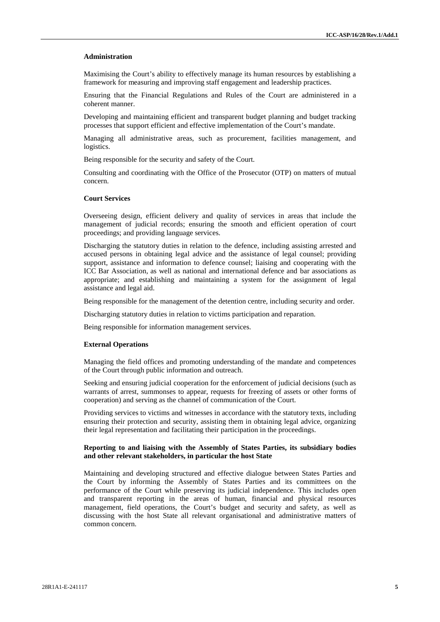#### **Administration**

Maximising the Court's ability to effectively manage its human resources by establishing a framework for measuring and improving staff engagement and leadership practices.

Ensuring that the Financial Regulations and Rules of the Court are administered in a coherent manner.

Developing and maintaining efficient and transparent budget planning and budget tracking processes that support efficient and effective implementation of the Court's mandate.

Managing all administrative areas, such as procurement, facilities management, and logistics.

Being responsible for the security and safety of the Court.

Consulting and coordinating with the Office of the Prosecutor (OTP) on matters of mutual concern.

#### **Court Services**

Overseeing design, efficient delivery and quality of services in areas that include the management of judicial records; ensuring the smooth and efficient operation of court proceedings; and providing language services.

Discharging the statutory duties in relation to the defence, including assisting arrested and accused persons in obtaining legal advice and the assistance of legal counsel; providing support, assistance and information to defence counsel liaising and cooperating with the ICC Bar Association, as well as national and international defence and bar associations as appropriate; and establishing and maintaining a system for the assignment of legal assistance and legal aid.

Being responsible for the management of the detention centre, including security and order.

Discharging statutory duties in relation to victims participation and reparation.

Being responsible for information management services.

#### **External Operations**

Managing the field offices and promoting understanding of the mandate and competences of the Court through public information and outreach.

Seeking and ensuring judicial cooperation for the enforcement of judicial decisions (such as warrants of arrest, summonses to appear, requests for freezing of assets or other forms of cooperation) and serving as the channel of communication of the Court.

Providing services to victims and witnesses in accordance with the statutory texts, including ensuring their protection and security, assisting them in obtaining legal advice, organizing their legal representation and facilitating their participation in the proceedings.

#### **Reporting to and liaising with the Assembly of States Parties, its subsidiary bodies and other relevant stakeholders, in particular the host State**

Maintaining and developing structured and effective dialogue between States Parties and the Court by informing the Assembly of States Parties and its committees on the performance of the Court while preserving its judicial independence. This includes open and transparent reporting in the areas of human, financial and physical resources management, field operations, the Court's budget and security and safety, as well as discussing with the host State all relevant organisational and administrative matters of common concern.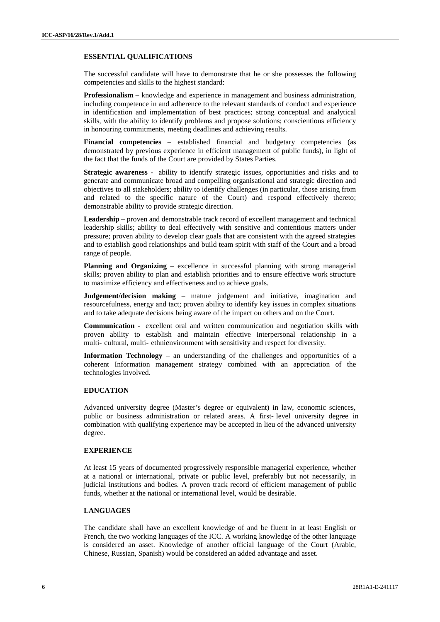#### **ESSENTIAL QUALIFICATIONS**

The successful candidate will have to demonstrate that he or she possesses the following competencies and skills to the highest standard:

**Professionalism** – knowledge and experience in management and business administration, including competence in and adherence to the relevant standards of conduct and experience in identification and implementation of best practices; strong conceptual and analytical skills, with the ability to identify problems and propose solutions; conscientious efficiency in honouring commitments, meeting deadlines and achieving results.

**Financial competencies** – established financial and budgetary competencies (as demonstrated by previous experience in efficient management of public funds), in light of the fact that the funds of the Court are provided by States Parties. in honouring commitments, meeting deadlines and achieving results.<br> **Financial competencies** – established financial and budgetary competencies (as<br>
demonstrated by previous experience in efficient management of public fun

generate and communicate broad and compelling organisational and strategic direction and objectives to all stakeholders; ability to identify challenges (in particular, those arising from and related to the specific nature of the Court) and respond effectively thereto demonstrable ability to provide strategic direction.

**Leadership** – proven and demonstrable track record of excellent management and technical leadership skills; ability to deal effectively with sensitive and contentious matters under pressure; proven ability to develop clear goals that are consistent with the agreed strategies and to establish good relationships and build team spirit with staff of the Court and a broad range of people.

**Planning and Organizing** – excellence in successful planning with strong managerial skills; proven ability to plan and establish priorities and to ensure effective work structure to maximize efficiency and effectiveness and to achieve goals.

**Judgement/decision making** – mature judgement and initiative, imagination and resourcefulness, energy and tact; proven ability to identify key issues in complex situations and to take adequate decisions being aware of the impact on others and on the Court. to maximize efficiency and effectiveness and to achieve goals.<br> **Communication**  $\blacksquare$  and  $\blacksquare$  and  $\blacksquare$  and  $\blacksquare$  and  $\blacksquare$  and  $\blacksquare$  and  $\blacksquare$  and  $\blacksquare$  and  $\blacksquare$  and  $\blacksquare$  and  $\blacksquare$  and  $\blacksquare$  and  $\blacksquare$  and

multi- cultural, multi- ethnicenvironment with sensitivity and respect for diversity.<br> **Communication** - excellent oral and written communication and negotiation skill<br>
proven ability to establish and maintain effective in

**Information Technology** – an understanding of the challenges and opportunities of a coherent Information management strategy combined with an appreciation of the technologies involved.

#### **EDUCATION**

Advanced university degree (Master's degree or equivalent) in law, economic sciences, public or business administration or related areas. A first- level university degree in combination with qualifying experience may be accepted in lieu of the advanced university degree.

#### **EXPERIENCE**

At least 15 years of documented progressively responsible managerial experience, whether at a national or international, private or public level, preferably but not necessarily, in judicial institutions and bodies. A proven track record of efficient management of public funds, whether at the national or international level, would be desirable.

#### **LANGUAGES**

The candidate shall have an excellent knowledge of and be fluent in at least English or French, the two working languages of the ICC. A working knowledge of the other language is considered an asset. Knowledge of another official language of the Court (Arabic, Chinese, Russian, Spanish) would be considered an added advantage and asset.